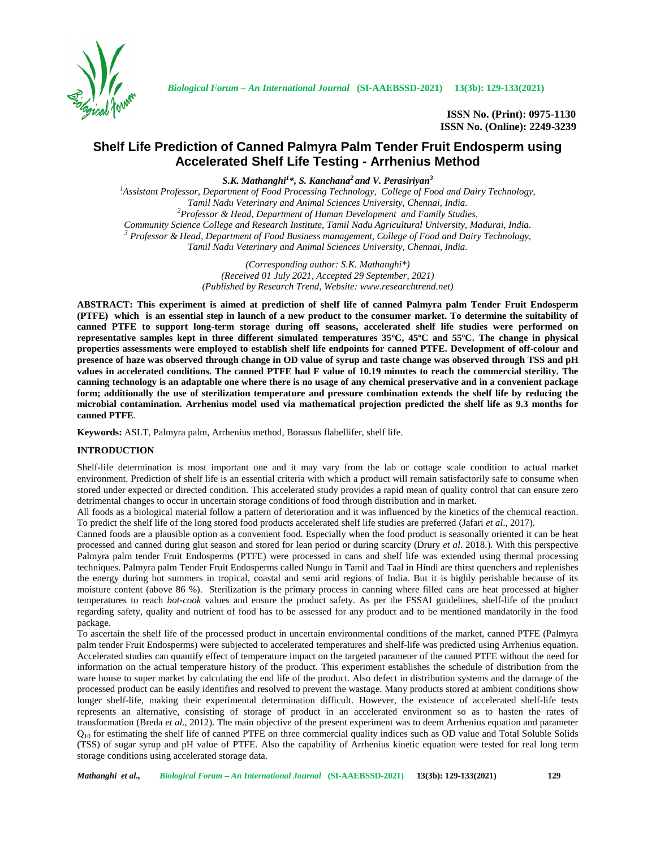

**ISSN No. (Print): 0975-1130 ISSN No. (Online): 2249-3239**

# **Shelf Life Prediction of Canned Palmyra Palm Tender Fruit Endosperm using Accelerated Shelf Life Testing - Arrhenius Method**

*S.K. Mathanghi<sup>1</sup>\*, S. Kanchana<sup>2</sup> and V. Perasiriyan<sup>3</sup>*

*<sup>1</sup>Assistant Professor, Department of Food Processing Technology, College of Food and Dairy Technology,* <sup>2</sup>*Professor & Head, Department of Human Development and Family Studies,*<br>*Community Science College and Research Institute, Tamil Nadu Agricultural University, Madurai, India.* <sup>3</sup> Professor & Head, Department of Food Business management, College of Food and Dairy Technology, *Tamil Nadu Veterinary and Animal Sciences University, Chennai, India.*

> *(Corresponding author: S.K. Mathanghi\*) (Received 01 July 2021, Accepted 29 September, 2021) (Published by Research Trend, Website: <www.researchtrend.net>)*

**ABSTRACT: This experiment is aimed at prediction of shelf life of canned Palmyra palm Tender Fruit Endosperm (PTFE) which is an essential step in launch of a new product to the consumer market. To determine the suitability of canned PTFE to support long-term storage during off seasons, accelerated shelf life studies were performed on representative samples kept in three different simulated temperatures 35ºC, 45ºC and 55ºC. The change in physical properties assessments were employed to establish shelf life endpoints for canned PTFE. Development of off-colour and presence of haze was observed through change in OD value of syrup and taste change was observed through TSS and pH values in accelerated conditions. The canned PTFE had F value of 10.19 minutes to reach the commercial sterility. The canning technology is an adaptable one where there is no usage of any chemical preservative and in a convenient package form; additionally the use of sterilization temperature and pressure combination extends the shelf life by reducing the microbial contamination. Arrhenius model used via mathematical projection predicted the shelf life as 9.3 months for canned PTFE**.

**Keywords:** ASLT, Palmyra palm, Arrhenius method, Borassus flabellifer, shelf life.

# **INTRODUCTION**

Shelf-life determination is most important one and it may vary from the lab or cottage scale condition to actual market environment. Prediction of shelf life is an essential criteria with which a product will remain satisfactorily safe to consume when stored under expected or directed condition. This accelerated study provides a rapid mean of quality control that can ensure zero detrimental changes to occur in uncertain storage conditions of food through distribution and in market.

All foods as a biological material follow a pattern of deterioration and it was influenced by the kinetics of the chemical reaction. To predict the shelf life of the long stored food products accelerated shelf life studies are preferred (Jafari *et al*., 2017).

Canned foods are a plausible option as a convenient food. Especially when the food product is seasonally oriented it can be heat processed and canned during glut season and stored for lean period or during scarcity (Drury *et al*. 2018.). With this perspective Palmyra palm tender Fruit Endosperms (PTFE) were processed in cans and shelf life was extended using thermal processing techniques. Palmyra palm Tender Fruit Endosperms called Nungu in Tamil and Taal in Hindi are thirst quenchers and replenishes the energy during hot summers in tropical, coastal and semi arid regions of India. But it is highly perishable because of its moisture content (above 86 %). Sterilization is the primary process in canning where filled cans are heat processed at higher temperatures to reach *bot-cook* values and ensure the product safety. As per the FSSAI guidelines, shelf-life of the product regarding safety, quality and nutrient of food has to be assessed for any product and to be mentioned mandatorily in the food package.

To ascertain the shelf life of the processed product in uncertain environmental conditions of the market, canned PTFE (Palmyra palm tender Fruit Endosperms) were subjected to accelerated temperatures and shelf-life was predicted using Arrhenius equation. Accelerated studies can quantify effect of temperature impact on the targeted parameter of the canned PTFE without the need for information on the actual temperature history of the product. This experiment establishes the schedule of distribution from the ware house to super market by calculating the end life of the product. Also defect in distribution systems and the damage of the processed product can be easily identifies and resolved to prevent the wastage. Many products stored at ambient conditions show longer shelf-life, making their experimental determination difficult. However, the existence of accelerated shelf-life tests represents an alternative, consisting of storage of product in an accelerated environment so as to hasten the rates of transformation (Breda *et al*., 2012). The main objective of the present experiment was to deem Arrhenius equation and parameter  $Q_{10}$  for estimating the shelf life of canned PTFE on three commercial quality indices such as OD value and Total Soluble Solids (TSS) of sugar syrup and pH value of PTFE. Also the capability of Arrhenius kinetic equation were tested for real long term storage conditions using accelerated storage data.

*Mathanghi et al., Biological Forum – An International Journal* **(SI-AAEBSSD-2021) 13(3b): 129-133(2021) 129**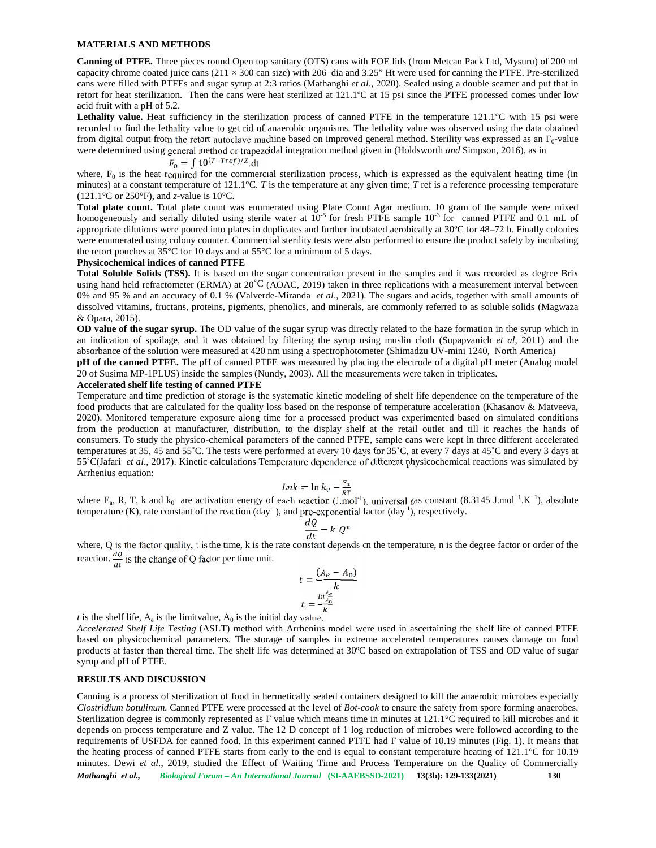#### **MATERIALS AND METHODS**

**Canning of PTFE.** Three pieces round Open top sanitary (OTS) cans with EOE lids (from Metcan Pack Ltd, Mysuru) of 200 ml capacity chrome coated juice cans  $(211 \times 300)$  can size) with 206 dia and 3.25" Ht were used for canning the PTFE. Pre-sterilized cans were filled with PTFEs and sugar syrup at 2:3 ratios (Mathanghi *et al*., 2020). Sealed using a double seamer and put that in retort for heat sterilization. Then the cans were heat sterilized at 121.1ºC at 15 psi since the PTFE processed comes under low acid fruit with a pH of 5.2.

Lethality value. Heat sufficiency in the sterilization process of canned PTFE in the temperature 121.1°C with 15 psi were recorded to find the lethality value to get rid of anaerobic organisms. The lethality value was observed using the data obtained from digital output from the retort autoclave machine based on improved general method. Sterility was expressed as an  $F_0$ -value were determined using general method or trapezoidal integration method given in (Holdsworth *and* Simpson, 2016), as in

$$
F_0 = \int 10^{(T-Tref)/Z} dt
$$

where,  $F_0$  is the heat required for the commercial sterilization process, which is expressed as the equivalent heating time (in minutes) at a constant temperature of 121.1°C. *T* is the temperature at any given time; *T* ref is a reference processing temperature  $(121.1\degree C \text{ or } 250\degree F)$ , and *z*-value is 10 $\degree C$ .

**Total plate count.** Total plate count was enumerated using Plate Count Agar medium. 10 gram of the sample were mixed homogeneously and serially diluted using sterile water at  $10^{-5}$  for fresh PTFE sample  $10^{-3}$  for canned PTFE and 0.1 mL of appropriate dilutions were poured into plates in duplicates and further incubated aerobically at 30ºC for 48–72 h. Finally colonies were enumerated using colony counter. Commercial sterility tests were also performed to ensure the product safety by incubating the retort pouches at 35°C for 10 days and at 55°C for a minimum of 5 days.

### **Physicochemical indices of canned PTFE**

**Total Soluble Solids (TSS).** It is based on the sugar concentration present in the samples and it was recorded as degree Brix using hand held refractometer (ERMA) at 20˚C (AOAC, 2019) taken in three replications with a measurement interval between 0% and 95 % and an accuracy of 0.1 % (Valverde-Miranda *et al*., 2021). The sugars and acids, together with small amounts of dissolved vitamins, fructans, proteins, pigments, phenolics, and minerals, are commonly referred to as soluble solids (Magwaza & Opara, 2015).

**OD value of the sugar syrup.** The OD value of the sugar syrup was directly related to the haze formation in the syrup which in an indication of spoilage, and it was obtained by filtering the syrup using muslin cloth (Supapvanich *et al*, 2011) and the absorbance of the solution were measured at 420 nm using a spectrophotometer (Shimadzu UV-mini 1240, North America)

**pH of the canned PTFE.** The pH of canned PTFE was measured by placing the electrode of a digital pH meter (Analog model 20 of Susima MP-1PLUS) inside the samples (Nundy, 2003). All the measurements were taken in triplicates.

### **Accelerated shelf life testing of canned PTFE**

Temperature and time prediction of storage is the systematic kinetic modeling of shelf life dependence on the temperature of the food products that are calculated for the quality loss based on the response of temperature acceleration (Khasanov & Matveeva, 2020). Monitored temperature exposure along time for a processed product was experimented based on simulated conditions from the production at manufacturer, distribution, to the display shelf at the retail outlet and till it reaches the hands of consumers. To study the physico-chemical parameters of the canned PTFE, sample cans were kept in three different accelerated temperatures at 35, 45 and 55˚C. The tests were performed at every 10 days for 35˚C, at every 7 days at 45˚C and every 3 days at 55˚C(Jafari *et al*., 2017). Kinetic calculations Temperature dependence of different physicochemical reactions was simulated by Arrhenius equation:

$$
Lnk = \ln k_0 - \frac{E_a}{RT}
$$

where  $E_a$ , R, T, k and  $k_0$  are activation energy of each reaction (J.mol<sup>-1</sup>), universal gas constant (8.3145 J.mol<sup>-1</sup>.K<sup>-1</sup>), absolute temperature (K), rate constant of the reaction  $(\text{day}^{-1})$ , and pre-exponential factor  $(\text{day}^{-1})$ , respectively.

$$
\frac{dQ}{dt} = k \cdot Q^n
$$

where, Q is the factor quality, t is the time, k is the rate constant depends on the temperature, n is the degree factor or order of the reaction.  $\frac{dQ}{dt}$  is the change of Q factor per time unit.

$$
t = \frac{(A_e - A_0)}{k}
$$

$$
t = \frac{\ln \frac{A_e}{A_0}}{k}
$$

*t* is the shelf life,  $A_e$  is the limitvalue,  $A_0$  is the initial day value.

*Accelerated Shelf Life Testing* (ASLT) method with Arrhenius model were used in ascertaining the shelf life of canned PTFE based on physicochemical parameters. The storage of samples in extreme accelerated temperatures causes damage on food products at faster than thereal time. The shelf life was determined at 30ºC based on extrapolation of TSS and OD value of sugar syrup and pH of PTFE.

#### **RESULTS AND DISCUSSION**

*Mathanghi et al., Biological Forum – An International Journal* **(SI-AAEBSSD-2021) 13(3b): 129-133(2021) 130** Canning is a process of sterilization of food in hermetically sealed containers designed to kill the anaerobic microbes especially *Clostridium botulinum.* Canned PTFE were processed at the level of *Bot-cook* to ensure the safety from spore forming anaerobes. Sterilization degree is commonly represented as F value which means time in minutes at 121.1°C required to kill microbes and it depends on process temperature and Z value. The 12 D concept of 1 log reduction of microbes were followed according to the requirements of USFDA for canned food. In this experiment canned PTFE had F value of 10.19 minutes (Fig. 1). It means that the heating process of canned PTFE starts from early to the end is equal to constant temperature heating of 121.1°C for 10.19 minutes. Dewi *et al*., 2019, studied the Effect of Waiting Time and Process Temperature on the Quality of Commercially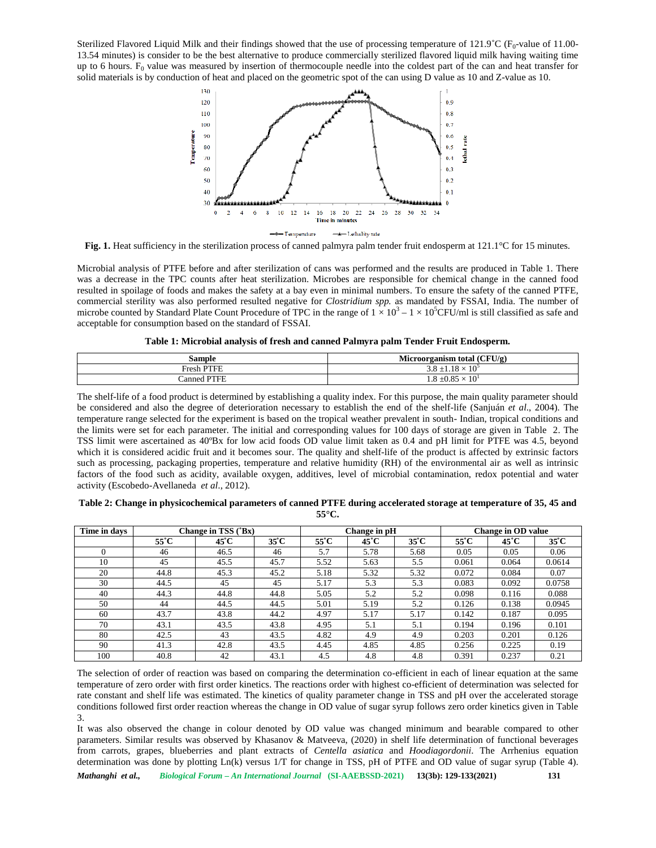Sterilized Flavored Liquid Milk and their findings showed that the use of processing temperature of 121.9°C (F<sub>0</sub>-value of 11.00-13.54 minutes) is consider to be the best alternative to produce commercially sterilized flavored liquid milk having waiting time up to 6 hours.  $F_0$  value was measured by insertion of thermocouple needle into the coldest part of the can and heat transfer for solid materials is by conduction of heat and placed on the geometric spot of the can using D value as 10 and Z-value as 10.



**Fig. 1.** Heat sufficiency in the sterilization process of canned palmyra palm tender fruit endosperm at 121.1<sup>o</sup>C for 15 minutes.

Microbial analysis of PTFE before and after sterilization of cans was performed and the results are produced in Table 1. There was a decrease in the TPC counts after heat sterilization. Microbes are responsible for chemical change in the canned food resulted in spoilage of foods and makes the safety at a bay even in minimal numbers. To ensure the safety of the canned PTFE, commercial sterility was also performed resulted negative for *Clostridium spp.* as mandated by FSSAI, India. The number of microbe counted by Standard Plate Count Procedure of TPC in the range of  $1 \times 10^3 - 1 \times 10^5$ CFU/ml is still classified as safe and acceptable for consumption based on the standard of FSSAI.

|  | Table 1: Microbial analysis of fresh and canned Palmyra palm Tender Fruit Endosperm. |
|--|--------------------------------------------------------------------------------------|
|  |                                                                                      |

| Sample                | CFU/g<br>- -<br>Microorganism total                       |
|-----------------------|-----------------------------------------------------------|
| , DTEF<br>$F$ resh    | 1 <sub>O</sub><br>$1 \cap$<br>$\Omega$<br>J.O<br>1 U<br>— |
| <b>PTEE</b><br>:anned | $\Omega$ $\Omega$ $\Gamma$<br>1 <sub>0</sub><br>-19       |

The shelf-life of a food product is determined by establishing a quality index. For this purpose, the main quality parameter should be considered and also the degree of deterioration necessary to establish the end of the shelf-life (Sanjuán *et al*., 2004). The temperature range selected for the experiment is based on the tropical weather prevalent in south- Indian, tropical conditions and the limits were set for each parameter. The initial and corresponding values for 100 days of storage are given in Table 2.The TSS limit were ascertained as 40ºBx for low acid foods OD value limit taken as 0.4 and pH limit for PTFE was 4.5, beyond which it is considered acidic fruit and it becomes sour. The quality and shelf-life of the product is affected by extrinsic factors such as processing, packaging properties, temperature and relative humidity (RH) of the environmental air as well as intrinsic factors of the food such as acidity, available oxygen, additives, level of microbial contamination, redox potential and water activity (Escobedo-Avellaneda *et al*., 2012).

| Table 2: Change in physicochemical parameters of canned PTFE during accelerated storage at temperature of 35, 45 and |  |
|----------------------------------------------------------------------------------------------------------------------|--|
| $55^{\circ}$ C.                                                                                                      |  |

| Time in days |      | Change in TSS ('Bx) |                |                | Change in pH   |                |                | <b>Change in OD value</b> |                |  |  |
|--------------|------|---------------------|----------------|----------------|----------------|----------------|----------------|---------------------------|----------------|--|--|
|              | 55°C | $45^{\circ}$ C      | $35^{\circ}$ C | $55^{\circ}$ C | $45^{\circ}$ C | $35^{\circ}$ C | $55^{\circ}$ C | $45^{\circ}$ C            | $35^{\circ}$ C |  |  |
|              | 46   | 46.5                | 46             | 5.7            | 5.78           | 5.68           | 0.05           | 0.05                      | 0.06           |  |  |
| 10           | 45   | 45.5                | 45.7           | 5.52           | 5.63           | 5.5            | 0.061          | 0.064                     | 0.0614         |  |  |
| 20           | 44.8 | 45.3                | 45.2           | 5.18           | 5.32           | 5.32           | 0.072          | 0.084                     | 0.07           |  |  |
| 30           | 44.5 | 45                  | 45             | 5.17           | 5.3            | 5.3            | 0.083          | 0.092                     | 0.0758         |  |  |
| 40           | 44.3 | 44.8                | 44.8           | 5.05           | 5.2            | 5.2            | 0.098          | 0.116                     | 0.088          |  |  |
| 50           | 44   | 44.5                | 44.5           | 5.01           | 5.19           | 5.2            | 0.126          | 0.138                     | 0.0945         |  |  |
| 60           | 43.7 | 43.8                | 44.2           | 4.97           | 5.17           | 5.17           | 0.142          | 0.187                     | 0.095          |  |  |
| 70           | 43.1 | 43.5                | 43.8           | 4.95           | 5.1            | 5.1            | 0.194          | 0.196                     | 0.101          |  |  |
| 80           | 42.5 | 43                  | 43.5           | 4.82           | 4.9            | 4.9            | 0.203          | 0.201                     | 0.126          |  |  |
| 90           | 41.3 | 42.8                | 43.5           | 4.45           | 4.85           | 4.85           | 0.256          | 0.225                     | 0.19           |  |  |
| 100          | 40.8 | 42                  | 43.1           | 4.5            | 4.8            | 4.8            | 0.391          | 0.237                     | 0.21           |  |  |

The selection of order of reaction was based on comparing the determination co-efficient in each of linear equation at the same temperature of zero order with first order kinetics. The reactions order with highest co-efficient of determination was selected for rate constant and shelf life was estimated. The kinetics of quality parameter change in TSS and pH over the accelerated storage conditions followed first order reaction whereas the change in OD value of sugar syrup follows zero order kinetics given in Table 3.

It was also observed the change in colour denoted by OD value was changed minimum and bearable compared to other parameters. Similar results was observed by Khasanov & Matveeva, (2020) in shelf life determination of functional beverages from carrots, grapes, blueberries and plant extracts of *Centella asiatica* and *Hoodiagordonii*. The Arrhenius equation determination was done by plotting Ln(k) versus 1/T for change in TSS, pH of PTFE and OD value of sugar syrup (Table 4).

*Mathanghi et al., Biological Forum – An International Journal* **(SI-AAEBSSD-2021) 13(3b): 129-133(2021) 131**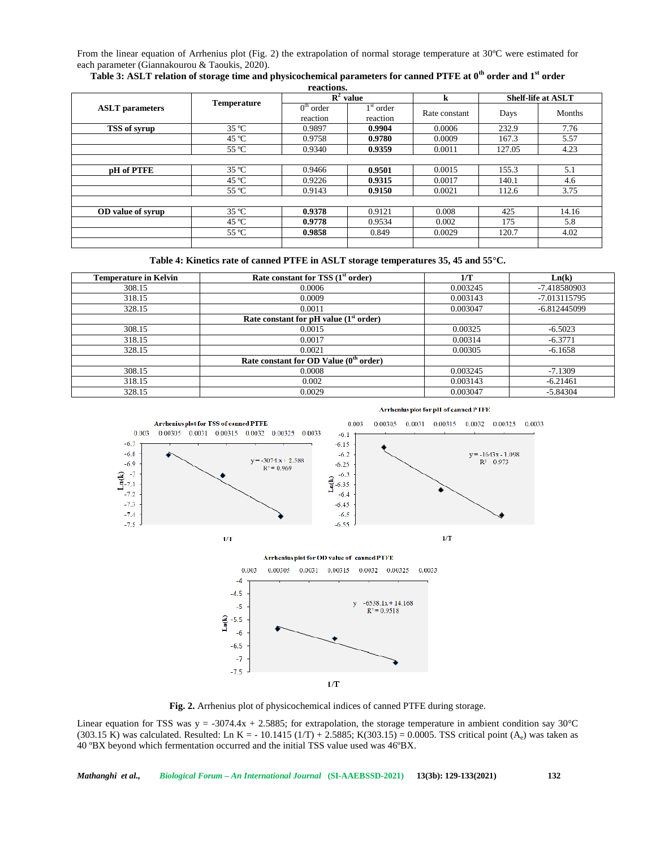From the linear equation of Arrhenius plot (Fig. 2) the extrapolation of normal storage temperature at 30ºC were estimated for each parameter (Giannakourou & Taoukis, 2020).

| Table 3: ASLT relation of storage time and physicochemical parameters for canned PTFE at 0 <sup>th</sup> order and 1 <sup>st</sup> order |  |
|------------------------------------------------------------------------------------------------------------------------------------------|--|
| regetions                                                                                                                                |  |

|                        |                    | $\mathbf{R}^2$ value    |                         | k             | <b>Shelf-life at ASLT</b> |        |
|------------------------|--------------------|-------------------------|-------------------------|---------------|---------------------------|--------|
| <b>ASLT</b> parameters | <b>Temperature</b> | $0th$ order<br>reaction | $1st$ order<br>reaction | Rate constant | Days                      | Months |
| TSS of syrup           | $35^{\circ}$ C     | 0.9897                  | 0.9904                  | 0.0006        | 232.9                     | 7.76   |
|                        | $45^{\circ}$ C     | 0.9758                  | 0.9780                  | 0.0009        | 167.3                     | 5.57   |
|                        | 55 °C              | 0.9340                  | 0.9359                  | 0.0011        | 127.05                    | 4.23   |
|                        |                    |                         |                         |               |                           |        |
| pH of PTFE             | $35^{\circ}$ C     | 0.9466                  | 0.9501                  | 0.0015        | 155.3                     | 5.1    |
|                        | $45^{\circ}$ C     | 0.9226                  | 0.9315                  | 0.0017        | 140.1                     | 4.6    |
|                        | 55 °C              | 0.9143                  | 0.9150                  | 0.0021        | 112.6                     | 3.75   |
|                        |                    |                         |                         |               |                           |        |
| OD value of syrup      | $35^{\circ}$ C     | 0.9378                  | 0.9121                  | 0.008         | 425                       | 14.16  |
|                        | $45^{\circ}$ C     | 0.9778                  | 0.9534                  | 0.002         | 175                       | 5.8    |
|                        | 55 °C              | 0.9858                  | 0.849                   | 0.0029        | 120.7                     | 4.02   |
|                        |                    |                         |                         |               |                           |        |

**Table 4: Kinetics rate of canned PTFE in ASLT storage temperatures 35, 45 and 55°C.**

| <b>Temperature in Kelvin</b> | Rate constant for TSS $(1st order)$      | 1/T      | Ln(k)          |
|------------------------------|------------------------------------------|----------|----------------|
| 308.15                       | 0.0006                                   | 0.003245 | -7.418580903   |
| 318.15                       | 0.0009                                   | 0.003143 | $-7.013115795$ |
| 328.15                       | 0.0011                                   | 0.003047 | $-6.812445099$ |
|                              | Rate constant for pH value $(1st order)$ |          |                |
| 308.15                       | 0.0015                                   | 0.00325  | $-6.5023$      |
| 318.15                       | 0.0017                                   | 0.00314  | $-6.3771$      |
| 328.15                       | 0.0021                                   | 0.00305  | $-6.1658$      |
|                              | Rate constant for OD Value $(0th order)$ |          |                |
| 308.15                       | 0.0008                                   | 0.003245 | $-7.1309$      |
| 318.15                       | 0.002                                    | 0.003143 | $-6.21461$     |
| 328.15                       | 0.0029                                   | 0.003047 | $-5.84304$     |

Arrhenius plot for pH of canned PTFE



**Fig. 2.** Arrhenius plot of physicochemical indices of canned PTFE during storage.

Linear equation for TSS was  $y = -3074.4x + 2.5885$ ; for extrapolation, the storage temperature in ambient condition say 30°C (303.15 K) was calculated. Resulted: Ln K = - 10.1415 (1/T) + 2.5885; K(303.15) = 0.0005. TSS critical point (A<sub>e</sub>) was taken as 40 ºBX beyond which fermentation occurred and the initial TSS value used was 46ºBX.

*Mathanghi et al., Biological Forum – An International Journal* **(SI-AAEBSSD-2021) 13(3b): 129-133(2021) 132**